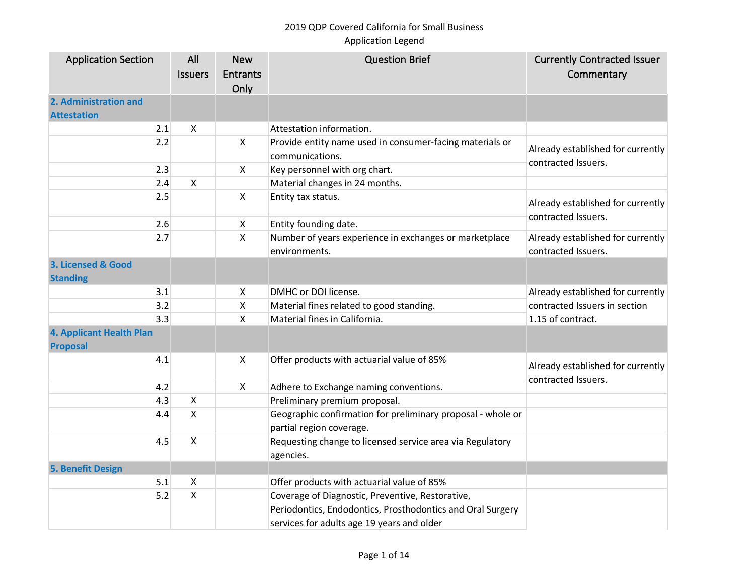| <b>Application Section</b>                         | All                       | <b>New</b>      | <b>Question Brief</b>                                       | <b>Currently Contracted Issuer</b> |
|----------------------------------------------------|---------------------------|-----------------|-------------------------------------------------------------|------------------------------------|
|                                                    | <b>Issuers</b>            | <b>Entrants</b> |                                                             | Commentary                         |
|                                                    |                           | Only            |                                                             |                                    |
| 2. Administration and<br><b>Attestation</b>        |                           |                 |                                                             |                                    |
| 2.1                                                | X                         |                 | Attestation information.                                    |                                    |
| 2.2                                                |                           | X               | Provide entity name used in consumer-facing materials or    |                                    |
|                                                    |                           |                 | communications.                                             | Already established for currently  |
| 2.3                                                |                           | X               | Key personnel with org chart.                               | contracted Issuers.                |
| 2.4                                                | $\pmb{\times}$            |                 | Material changes in 24 months.                              |                                    |
| 2.5                                                |                           | $\mathsf{X}$    | Entity tax status.                                          | Already established for currently  |
| 2.6                                                |                           | X               | Entity founding date.                                       | contracted Issuers.                |
| 2.7                                                |                           | X               | Number of years experience in exchanges or marketplace      | Already established for currently  |
|                                                    |                           |                 | environments.                                               | contracted Issuers.                |
| 3. Licensed & Good                                 |                           |                 |                                                             |                                    |
| <b>Standing</b>                                    |                           |                 |                                                             |                                    |
| 3.1                                                |                           | X               | DMHC or DOI license.                                        | Already established for currently  |
| 3.2                                                |                           | Χ               | Material fines related to good standing.                    | contracted Issuers in section      |
| 3.3                                                |                           | Χ               | Material fines in California.                               | 1.15 of contract.                  |
| <b>4. Applicant Health Plan</b><br><b>Proposal</b> |                           |                 |                                                             |                                    |
| 4.1                                                |                           | Χ               | Offer products with actuarial value of 85%                  | Already established for currently  |
| 4.2                                                |                           | X               | Adhere to Exchange naming conventions.                      | contracted Issuers.                |
| 4.3                                                | $\pmb{\times}$            |                 | Preliminary premium proposal.                               |                                    |
| 4.4                                                | $\boldsymbol{\mathsf{X}}$ |                 | Geographic confirmation for preliminary proposal - whole or |                                    |
|                                                    |                           |                 | partial region coverage.                                    |                                    |
| 4.5                                                | $\boldsymbol{\mathsf{X}}$ |                 | Requesting change to licensed service area via Regulatory   |                                    |
|                                                    |                           |                 | agencies.                                                   |                                    |
| <b>5. Benefit Design</b>                           |                           |                 |                                                             |                                    |
| 5.1                                                | X                         |                 | Offer products with actuarial value of 85%                  |                                    |
| 5.2                                                | $\pmb{\mathsf{X}}$        |                 | Coverage of Diagnostic, Preventive, Restorative,            |                                    |
|                                                    |                           |                 | Periodontics, Endodontics, Prosthodontics and Oral Surgery  |                                    |
|                                                    |                           |                 | services for adults age 19 years and older                  |                                    |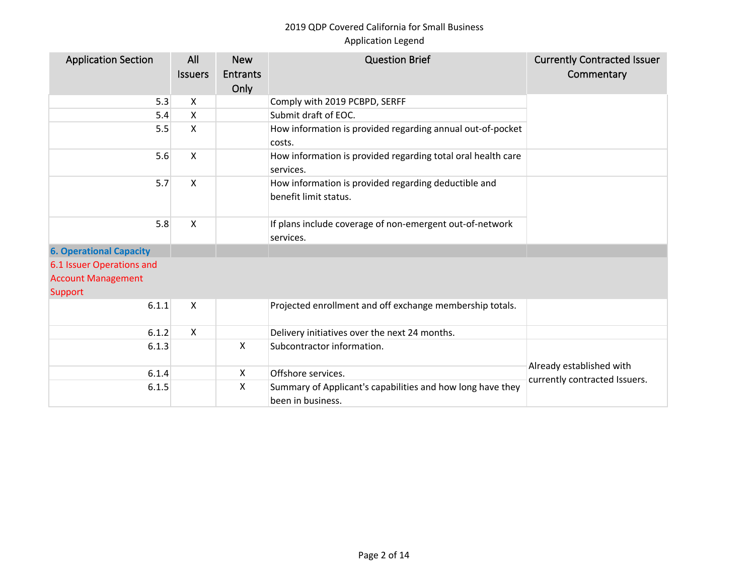| <b>Application Section</b>     | All<br><b>Issuers</b> | <b>New</b><br><b>Entrants</b><br>Only | <b>Question Brief</b>                                                           | <b>Currently Contracted Issuer</b><br>Commentary |
|--------------------------------|-----------------------|---------------------------------------|---------------------------------------------------------------------------------|--------------------------------------------------|
| 5.3                            | X                     |                                       | Comply with 2019 PCBPD, SERFF                                                   |                                                  |
| 5.4                            | X                     |                                       | Submit draft of EOC.                                                            |                                                  |
| 5.5                            | X                     |                                       | How information is provided regarding annual out-of-pocket<br>costs.            |                                                  |
| 5.6                            | X                     |                                       | How information is provided regarding total oral health care<br>services.       |                                                  |
| 5.7                            | X                     |                                       | How information is provided regarding deductible and<br>benefit limit status.   |                                                  |
| 5.8                            | X                     |                                       | If plans include coverage of non-emergent out-of-network<br>services.           |                                                  |
| <b>6. Operational Capacity</b> |                       |                                       |                                                                                 |                                                  |
| 6.1 Issuer Operations and      |                       |                                       |                                                                                 |                                                  |
| <b>Account Management</b>      |                       |                                       |                                                                                 |                                                  |
| Support                        |                       |                                       |                                                                                 |                                                  |
| 6.1.1                          | X                     |                                       | Projected enrollment and off exchange membership totals.                        |                                                  |
| 6.1.2                          | X                     |                                       | Delivery initiatives over the next 24 months.                                   |                                                  |
| 6.1.3                          |                       | $\boldsymbol{\mathsf{X}}$             | Subcontractor information.                                                      |                                                  |
| 6.1.4                          |                       | X                                     | Offshore services.                                                              | Already established with                         |
| 6.1.5                          |                       | X                                     | Summary of Applicant's capabilities and how long have they<br>been in business. | currently contracted Issuers.                    |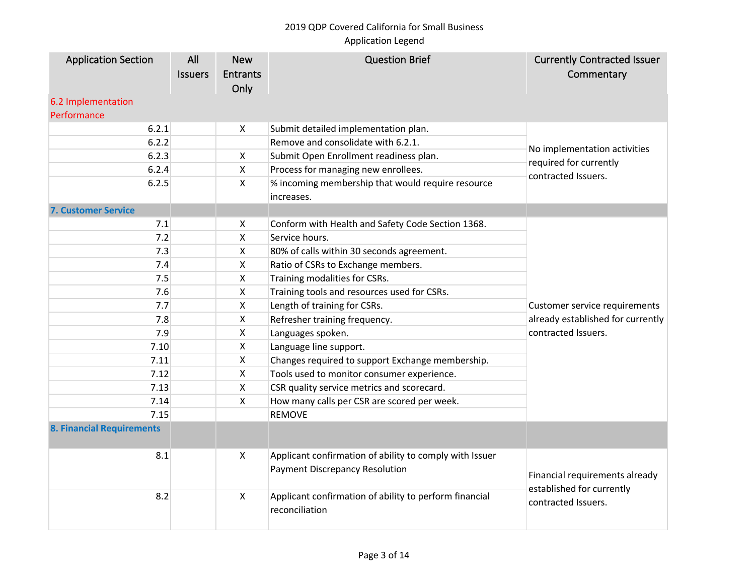| <b>Application Section</b><br>6.2 Implementation | All<br><b>Issuers</b> | <b>New</b><br><b>Entrants</b><br>Only | <b>Question Brief</b>                                                                            | <b>Currently Contracted Issuer</b><br>Commentary                                   |
|--------------------------------------------------|-----------------------|---------------------------------------|--------------------------------------------------------------------------------------------------|------------------------------------------------------------------------------------|
| Performance                                      |                       |                                       |                                                                                                  |                                                                                    |
| 6.2.1                                            |                       | $\boldsymbol{\mathsf{X}}$             | Submit detailed implementation plan.                                                             |                                                                                    |
| 6.2.2                                            |                       |                                       | Remove and consolidate with 6.2.1.                                                               | No implementation activities                                                       |
| 6.2.3                                            |                       | X                                     | Submit Open Enrollment readiness plan.                                                           | required for currently                                                             |
| 6.2.4                                            |                       | $\mathsf{X}$                          | Process for managing new enrollees.                                                              | contracted Issuers.                                                                |
| 6.2.5                                            |                       | $\boldsymbol{\mathsf{X}}$             | % incoming membership that would require resource                                                |                                                                                    |
|                                                  |                       |                                       | increases.                                                                                       |                                                                                    |
| <b>7. Customer Service</b>                       |                       |                                       |                                                                                                  |                                                                                    |
| 7.1                                              |                       | $\boldsymbol{\mathsf{X}}$             | Conform with Health and Safety Code Section 1368.                                                |                                                                                    |
| 7.2                                              |                       | X                                     | Service hours.                                                                                   |                                                                                    |
| 7.3                                              |                       | $\boldsymbol{\mathsf{X}}$             | 80% of calls within 30 seconds agreement.                                                        |                                                                                    |
| 7.4                                              |                       | X                                     | Ratio of CSRs to Exchange members.                                                               |                                                                                    |
| 7.5                                              |                       | X                                     | Training modalities for CSRs.                                                                    |                                                                                    |
| 7.6                                              |                       | X                                     | Training tools and resources used for CSRs.                                                      |                                                                                    |
| 7.7                                              |                       | $\boldsymbol{\mathsf{X}}$             | Length of training for CSRs.                                                                     | Customer service requirements                                                      |
| 7.8                                              |                       | $\boldsymbol{\mathsf{X}}$             | Refresher training frequency.                                                                    | already established for currently                                                  |
| 7.9                                              |                       | $\boldsymbol{\mathsf{X}}$             | Languages spoken.                                                                                | contracted Issuers.                                                                |
| 7.10                                             |                       | $\boldsymbol{\mathsf{X}}$             | Language line support.                                                                           |                                                                                    |
| 7.11                                             |                       | X                                     | Changes required to support Exchange membership.                                                 |                                                                                    |
| 7.12                                             |                       | $\pmb{\times}$                        | Tools used to monitor consumer experience.                                                       |                                                                                    |
| 7.13                                             |                       | X                                     | CSR quality service metrics and scorecard.                                                       |                                                                                    |
| 7.14                                             |                       | $\boldsymbol{\mathsf{X}}$             | How many calls per CSR are scored per week.                                                      |                                                                                    |
| 7.15                                             |                       |                                       | <b>REMOVE</b>                                                                                    |                                                                                    |
| <b>8. Financial Requirements</b>                 |                       |                                       |                                                                                                  |                                                                                    |
| 8.1                                              |                       | $\boldsymbol{\mathsf{X}}$             | Applicant confirmation of ability to comply with Issuer<br><b>Payment Discrepancy Resolution</b> | Financial requirements already<br>established for currently<br>contracted Issuers. |
| 8.2                                              |                       | $\boldsymbol{\mathsf{X}}$             | Applicant confirmation of ability to perform financial<br>reconciliation                         |                                                                                    |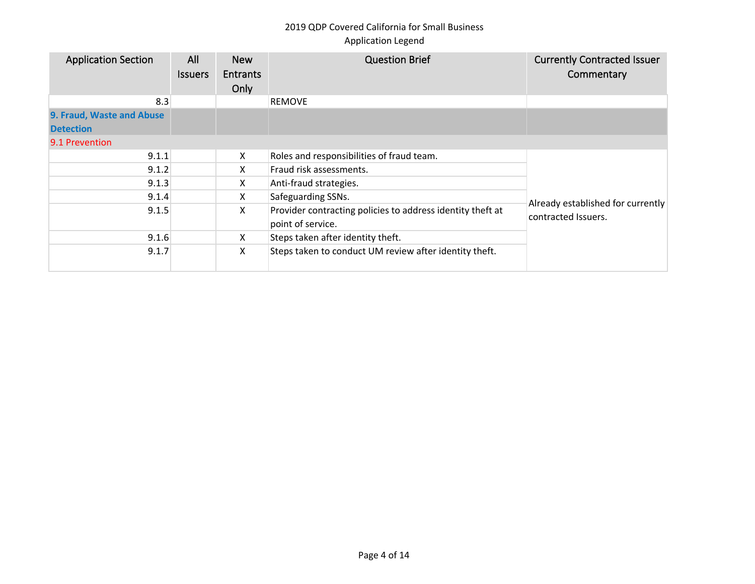| <b>Application Section</b>                    | All<br><b>Issuers</b> | <b>New</b><br><b>Entrants</b><br>Only | <b>Question Brief</b>                                                           | <b>Currently Contracted Issuer</b><br>Commentary         |
|-----------------------------------------------|-----------------------|---------------------------------------|---------------------------------------------------------------------------------|----------------------------------------------------------|
| 8.3                                           |                       |                                       | <b>REMOVE</b>                                                                   |                                                          |
| 9. Fraud, Waste and Abuse<br><b>Detection</b> |                       |                                       |                                                                                 |                                                          |
| 9.1 Prevention                                |                       |                                       |                                                                                 |                                                          |
| 9.1.1                                         |                       | X                                     | Roles and responsibilities of fraud team.                                       |                                                          |
| 9.1.2                                         |                       | X                                     | Fraud risk assessments.                                                         |                                                          |
| 9.1.3                                         |                       | X                                     | Anti-fraud strategies.                                                          |                                                          |
| 9.1.4                                         |                       | X                                     | Safeguarding SSNs.                                                              |                                                          |
| 9.1.5                                         |                       | X                                     | Provider contracting policies to address identity theft at<br>point of service. | Already established for currently<br>contracted Issuers. |
| 9.1.6                                         |                       | X                                     | Steps taken after identity theft.                                               |                                                          |
| 9.1.7                                         |                       | X                                     | Steps taken to conduct UM review after identity theft.                          |                                                          |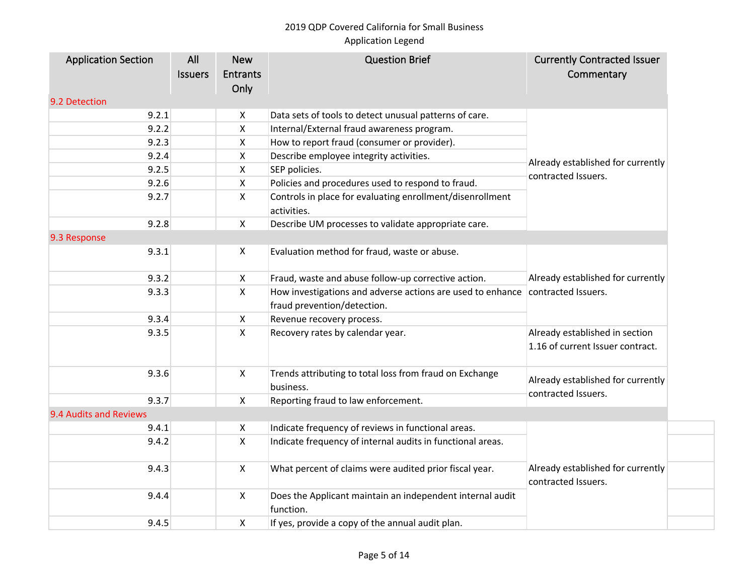## 2019 QDP Covered California for Small Business

## Application Legend

| <b>Application Section</b> | All            | <b>New</b>              | <b>Question Brief</b>                                                                                         | <b>Currently Contracted Issuer</b>                                 |
|----------------------------|----------------|-------------------------|---------------------------------------------------------------------------------------------------------------|--------------------------------------------------------------------|
|                            | <b>Issuers</b> | <b>Entrants</b><br>Only |                                                                                                               | Commentary                                                         |
| 9.2 Detection              |                |                         |                                                                                                               |                                                                    |
| 9.2.1                      |                | X                       | Data sets of tools to detect unusual patterns of care.                                                        |                                                                    |
| 9.2.2                      |                | X                       | Internal/External fraud awareness program.                                                                    |                                                                    |
| 9.2.3                      |                | X                       | How to report fraud (consumer or provider).                                                                   |                                                                    |
| 9.2.4                      |                | X                       | Describe employee integrity activities.                                                                       |                                                                    |
| 9.2.5                      |                | X                       | SEP policies.                                                                                                 | Already established for currently<br>contracted Issuers.           |
| 9.2.6                      |                | Χ                       | Policies and procedures used to respond to fraud.                                                             |                                                                    |
| 9.2.7                      |                | X                       | Controls in place for evaluating enrollment/disenrollment<br>activities.                                      |                                                                    |
| 9.2.8                      |                | X                       | Describe UM processes to validate appropriate care.                                                           |                                                                    |
| 9.3 Response               |                |                         |                                                                                                               |                                                                    |
| 9.3.1                      |                | X                       | Evaluation method for fraud, waste or abuse.                                                                  |                                                                    |
| 9.3.2                      |                | X                       | Fraud, waste and abuse follow-up corrective action.                                                           | Already established for currently                                  |
| 9.3.3                      |                | X                       | How investigations and adverse actions are used to enhance contracted Issuers.<br>fraud prevention/detection. |                                                                    |
| 9.3.4                      |                | X                       | Revenue recovery process.                                                                                     |                                                                    |
| 9.3.5                      |                | X                       | Recovery rates by calendar year.                                                                              | Already established in section<br>1.16 of current Issuer contract. |
| 9.3.6                      |                | X                       | Trends attributing to total loss from fraud on Exchange<br>business.                                          | Already established for currently                                  |
| 9.3.7                      |                | X                       | Reporting fraud to law enforcement.                                                                           | contracted Issuers.                                                |
| 9.4 Audits and Reviews     |                |                         |                                                                                                               |                                                                    |
| 9.4.1                      |                | X                       | Indicate frequency of reviews in functional areas.                                                            |                                                                    |
| 9.4.2                      |                | X                       | Indicate frequency of internal audits in functional areas.                                                    |                                                                    |
| 9.4.3                      |                | $\mathsf{X}$            | What percent of claims were audited prior fiscal year.                                                        | Already established for currently<br>contracted Issuers.           |
| 9.4.4                      |                | X                       | Does the Applicant maintain an independent internal audit<br>function.                                        |                                                                    |
| 9.4.5                      |                | X                       | If yes, provide a copy of the annual audit plan.                                                              |                                                                    |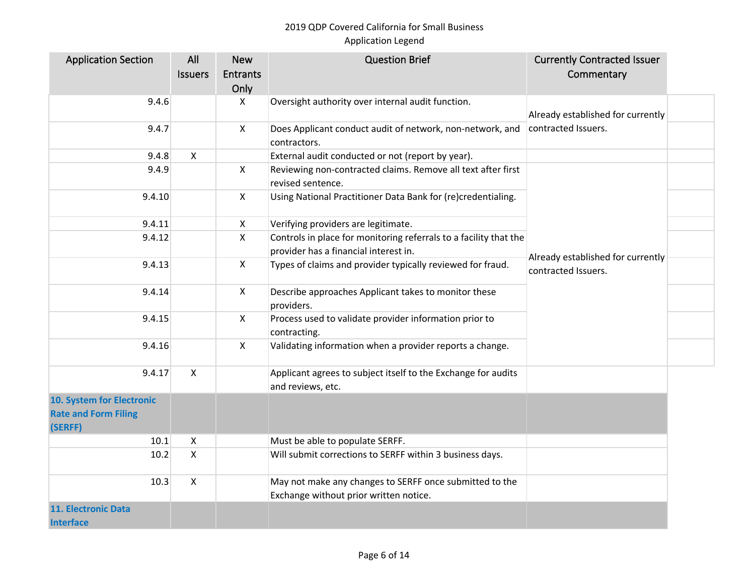| <b>Application Section</b>                                          | All            | <b>New</b>      | <b>Question Brief</b>                                                                             | <b>Currently Contracted Issuer</b>                       |  |
|---------------------------------------------------------------------|----------------|-----------------|---------------------------------------------------------------------------------------------------|----------------------------------------------------------|--|
|                                                                     | <b>Issuers</b> | <b>Entrants</b> |                                                                                                   | Commentary                                               |  |
|                                                                     |                | Only            |                                                                                                   |                                                          |  |
| 9.4.6                                                               |                | X               | Oversight authority over internal audit function.                                                 |                                                          |  |
|                                                                     |                |                 |                                                                                                   | Already established for currently                        |  |
| 9.4.7                                                               |                | X               | Does Applicant conduct audit of network, non-network, and                                         | contracted Issuers.                                      |  |
| 9.4.8                                                               | X              |                 | contractors.                                                                                      |                                                          |  |
|                                                                     |                |                 | External audit conducted or not (report by year).                                                 |                                                          |  |
| 9.4.9                                                               |                | X               | Reviewing non-contracted claims. Remove all text after first<br>revised sentence.                 |                                                          |  |
| 9.4.10                                                              |                | $\mathsf{X}$    | Using National Practitioner Data Bank for (re)credentialing.                                      |                                                          |  |
|                                                                     |                |                 |                                                                                                   |                                                          |  |
| 9.4.11                                                              |                | $\mathsf{X}$    | Verifying providers are legitimate.                                                               |                                                          |  |
| 9.4.12                                                              |                | X               | Controls in place for monitoring referrals to a facility that the                                 |                                                          |  |
|                                                                     |                |                 | provider has a financial interest in.                                                             | Already established for currently<br>contracted Issuers. |  |
| 9.4.13                                                              |                | $\mathsf{X}$    | Types of claims and provider typically reviewed for fraud.                                        |                                                          |  |
| 9.4.14                                                              |                | X               | Describe approaches Applicant takes to monitor these<br>providers.                                |                                                          |  |
| 9.4.15                                                              |                | X               | Process used to validate provider information prior to<br>contracting.                            |                                                          |  |
| 9.4.16                                                              |                | X               | Validating information when a provider reports a change.                                          |                                                          |  |
| 9.4.17                                                              | X              |                 | Applicant agrees to subject itself to the Exchange for audits<br>and reviews, etc.                |                                                          |  |
| 10. System for Electronic<br><b>Rate and Form Filing</b><br>(SERFF) |                |                 |                                                                                                   |                                                          |  |
| 10.1                                                                | $\mathsf{X}$   |                 | Must be able to populate SERFF.                                                                   |                                                          |  |
| $10.2$                                                              | $\mathsf{X}$   |                 | Will submit corrections to SERFF within 3 business days.                                          |                                                          |  |
| 10.3                                                                | $\mathsf{X}$   |                 | May not make any changes to SERFF once submitted to the<br>Exchange without prior written notice. |                                                          |  |
| <b>11. Electronic Data</b>                                          |                |                 |                                                                                                   |                                                          |  |
| <b>Interface</b>                                                    |                |                 |                                                                                                   |                                                          |  |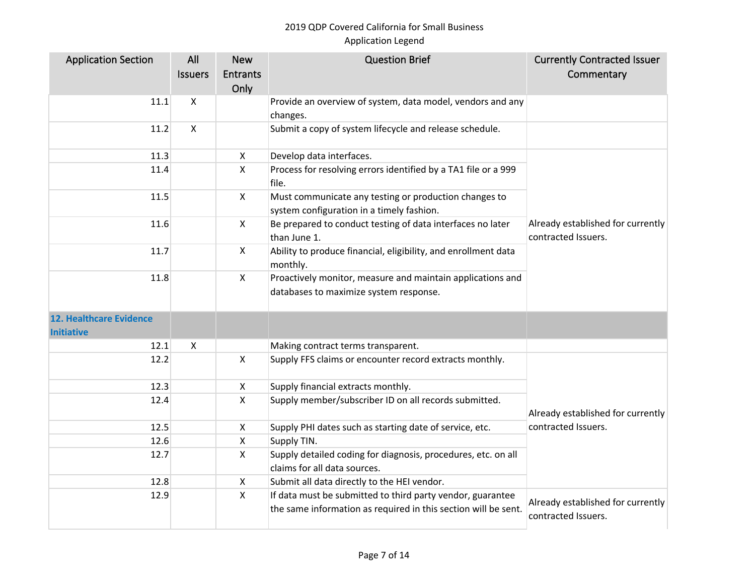| <b>Application Section</b>                          | All            | <b>New</b>                | <b>Question Brief</b>                                                                                                        | <b>Currently Contracted Issuer</b>                       |
|-----------------------------------------------------|----------------|---------------------------|------------------------------------------------------------------------------------------------------------------------------|----------------------------------------------------------|
|                                                     | <b>Issuers</b> | <b>Entrants</b>           |                                                                                                                              | Commentary                                               |
|                                                     |                | Only                      |                                                                                                                              |                                                          |
| 11.1                                                | Χ              |                           | Provide an overview of system, data model, vendors and any                                                                   |                                                          |
|                                                     |                |                           | changes.                                                                                                                     |                                                          |
| 11.2                                                | $\mathsf{X}$   |                           | Submit a copy of system lifecycle and release schedule.                                                                      |                                                          |
| 11.3                                                |                | X                         | Develop data interfaces.                                                                                                     |                                                          |
| 11.4                                                |                | X                         | Process for resolving errors identified by a TA1 file or a 999<br>file.                                                      |                                                          |
| 11.5                                                |                | $\mathsf{X}$              | Must communicate any testing or production changes to<br>system configuration in a timely fashion.                           |                                                          |
| 11.6                                                |                | $\boldsymbol{\mathsf{X}}$ | Be prepared to conduct testing of data interfaces no later<br>than June 1.                                                   | Already established for currently<br>contracted Issuers. |
| 11.7                                                |                | $\mathsf{X}$              | Ability to produce financial, eligibility, and enrollment data<br>monthly.                                                   |                                                          |
| 11.8                                                |                | X                         | Proactively monitor, measure and maintain applications and<br>databases to maximize system response.                         |                                                          |
| <b>12. Healthcare Evidence</b><br><b>Initiative</b> |                |                           |                                                                                                                              |                                                          |
| 12.1                                                | X              |                           | Making contract terms transparent.                                                                                           |                                                          |
| 12.2                                                |                | $\mathsf{X}$              | Supply FFS claims or encounter record extracts monthly.                                                                      |                                                          |
| 12.3                                                |                | X                         | Supply financial extracts monthly.                                                                                           |                                                          |
| 12.4                                                |                | $\mathsf{X}$              | Supply member/subscriber ID on all records submitted.                                                                        | Already established for currently                        |
| 12.5                                                |                | X                         | Supply PHI dates such as starting date of service, etc.                                                                      | contracted Issuers.                                      |
| 12.6                                                |                | X                         | Supply TIN.                                                                                                                  |                                                          |
| 12.7                                                |                | X                         | Supply detailed coding for diagnosis, procedures, etc. on all<br>claims for all data sources.                                |                                                          |
| 12.8                                                |                | X                         | Submit all data directly to the HEI vendor.                                                                                  |                                                          |
| 12.9                                                |                | $\mathsf{X}$              | If data must be submitted to third party vendor, guarantee<br>the same information as required in this section will be sent. | Already established for currently<br>contracted Issuers. |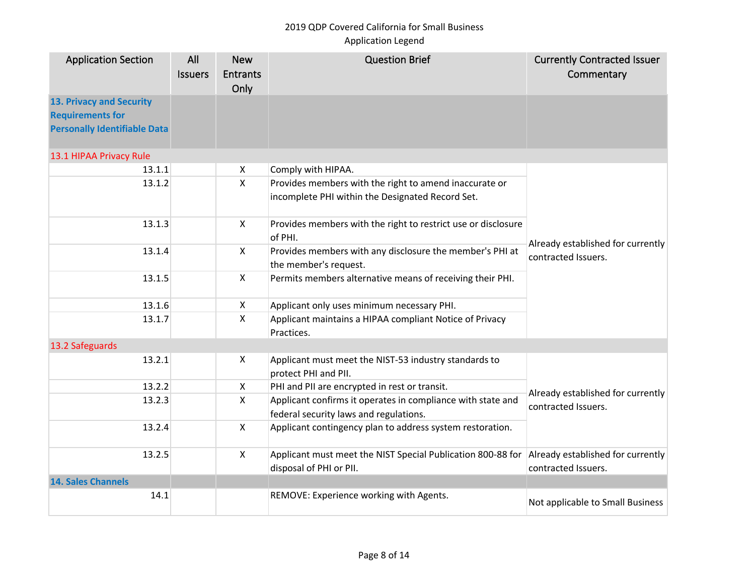## 2019 QDP Covered California for Small Business

## Application Legend

| <b>Application Section</b>                                                                 | All<br><b>Issuers</b> | <b>New</b><br><b>Entrants</b><br>Only | <b>Question Brief</b>                                                                                 | <b>Currently Contracted Issuer</b><br>Commentary         |
|--------------------------------------------------------------------------------------------|-----------------------|---------------------------------------|-------------------------------------------------------------------------------------------------------|----------------------------------------------------------|
| 13. Privacy and Security<br><b>Requirements for</b><br><b>Personally Identifiable Data</b> |                       |                                       |                                                                                                       |                                                          |
| 13.1 HIPAA Privacy Rule                                                                    |                       |                                       |                                                                                                       |                                                          |
| 13.1.1                                                                                     |                       | X                                     | Comply with HIPAA.                                                                                    |                                                          |
| 13.1.2                                                                                     |                       | $\pmb{\times}$                        | Provides members with the right to amend inaccurate or                                                |                                                          |
|                                                                                            |                       |                                       | incomplete PHI within the Designated Record Set.                                                      |                                                          |
| 13.1.3                                                                                     |                       | $\pmb{\times}$                        | Provides members with the right to restrict use or disclosure<br>of PHI.                              | Already established for currently<br>contracted Issuers. |
| 13.1.4                                                                                     |                       | $\pmb{\times}$                        | Provides members with any disclosure the member's PHI at<br>the member's request.                     |                                                          |
| 13.1.5                                                                                     |                       | $\mathsf{X}$                          | Permits members alternative means of receiving their PHI.                                             |                                                          |
| 13.1.6                                                                                     |                       | X                                     | Applicant only uses minimum necessary PHI.                                                            |                                                          |
| 13.1.7                                                                                     |                       | $\mathsf{x}$                          | Applicant maintains a HIPAA compliant Notice of Privacy<br>Practices.                                 |                                                          |
| 13.2 Safeguards                                                                            |                       |                                       |                                                                                                       |                                                          |
| 13.2.1                                                                                     |                       | X                                     | Applicant must meet the NIST-53 industry standards to<br>protect PHI and PII.                         |                                                          |
| 13.2.2                                                                                     |                       | X                                     | PHI and PII are encrypted in rest or transit.                                                         |                                                          |
| 13.2.3                                                                                     |                       | X                                     | Applicant confirms it operates in compliance with state and<br>federal security laws and regulations. | Already established for currently<br>contracted Issuers. |
| 13.2.4                                                                                     |                       | $\mathsf{x}$                          | Applicant contingency plan to address system restoration.                                             |                                                          |
| 13.2.5                                                                                     |                       | $\mathsf{x}$                          | Applicant must meet the NIST Special Publication 800-88 for<br>disposal of PHI or PII.                | Already established for currently<br>contracted Issuers. |
| <b>14. Sales Channels</b>                                                                  |                       |                                       |                                                                                                       |                                                          |
| 14.1                                                                                       |                       |                                       | REMOVE: Experience working with Agents.                                                               | Not applicable to Small Business                         |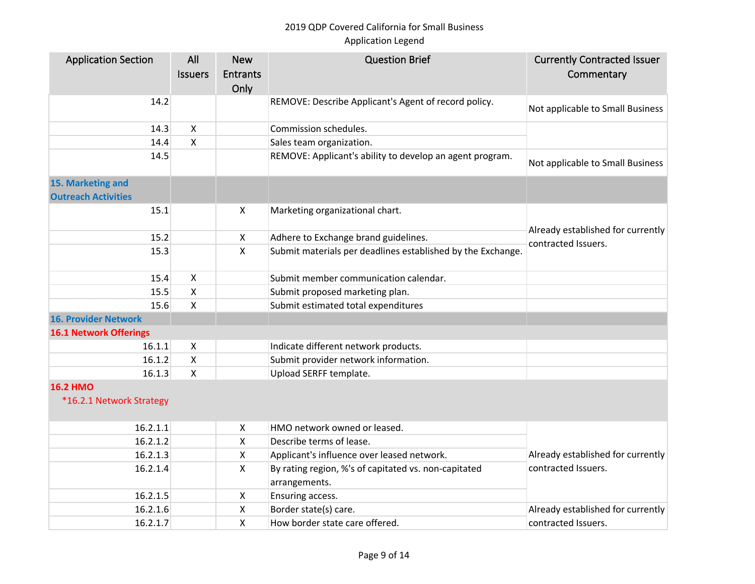| <b>Application Section</b>    | All                | <b>New</b>                | <b>Question Brief</b>                                       | <b>Currently Contracted Issuer</b>                       |
|-------------------------------|--------------------|---------------------------|-------------------------------------------------------------|----------------------------------------------------------|
|                               | <b>Issuers</b>     | <b>Entrants</b>           |                                                             | Commentary                                               |
|                               |                    | Only                      |                                                             |                                                          |
| 14.2                          |                    |                           | REMOVE: Describe Applicant's Agent of record policy.        | Not applicable to Small Business                         |
| 14.3                          | X                  |                           | Commission schedules.                                       |                                                          |
| 14.4                          | X                  |                           | Sales team organization.                                    |                                                          |
| 14.5                          |                    |                           | REMOVE: Applicant's ability to develop an agent program.    | Not applicable to Small Business                         |
| 15. Marketing and             |                    |                           |                                                             |                                                          |
| <b>Outreach Activities</b>    |                    |                           |                                                             |                                                          |
| 15.1                          |                    | $\boldsymbol{\mathsf{X}}$ | Marketing organizational chart.                             |                                                          |
|                               |                    |                           |                                                             |                                                          |
| 15.2                          |                    | $\pmb{\times}$            | Adhere to Exchange brand guidelines.                        | Already established for currently<br>contracted Issuers. |
| 15.3                          |                    | $\mathsf{x}$              | Submit materials per deadlines established by the Exchange. |                                                          |
| 15.4                          | X                  |                           | Submit member communication calendar.                       |                                                          |
| 15.5                          | X                  |                           | Submit proposed marketing plan.                             |                                                          |
| 15.6                          | X                  |                           | Submit estimated total expenditures                         |                                                          |
| <b>16. Provider Network</b>   |                    |                           |                                                             |                                                          |
| <b>16.1 Network Offerings</b> |                    |                           |                                                             |                                                          |
| 16.1.1                        | X                  |                           | Indicate different network products.                        |                                                          |
| 16.1.2                        | $\pmb{\mathsf{X}}$ |                           | Submit provider network information.                        |                                                          |
| 16.1.3                        | $\mathsf{x}$       |                           | Upload SERFF template.                                      |                                                          |
| <b>16.2 HMO</b>               |                    |                           |                                                             |                                                          |
| *16.2.1 Network Strategy      |                    |                           |                                                             |                                                          |
| 16.2.1.1                      |                    | X                         | HMO network owned or leased.                                |                                                          |
| 16.2.1.2                      |                    | X                         | Describe terms of lease.                                    |                                                          |
| 16.2.1.3                      |                    | X                         | Applicant's influence over leased network.                  | Already established for currently                        |
| 16.2.1.4                      |                    | X                         | By rating region, %'s of capitated vs. non-capitated        | contracted Issuers.                                      |
|                               |                    |                           | arrangements.                                               |                                                          |
| 16.2.1.5                      |                    | X                         | Ensuring access.                                            |                                                          |
| 16.2.1.6                      |                    | X                         | Border state(s) care.                                       | Already established for currently                        |
| 16.2.1.7                      |                    | X                         | How border state care offered.                              | contracted Issuers.                                      |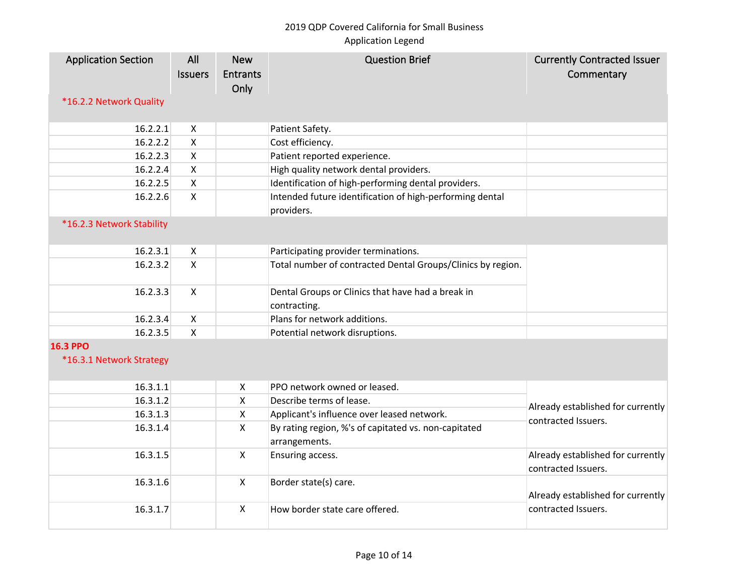| <b>Application Section</b><br>*16.2.2 Network Quality | All<br><b>Issuers</b> | <b>New</b><br><b>Entrants</b><br>Only | <b>Question Brief</b>                                                  | <b>Currently Contracted Issuer</b><br>Commentary         |
|-------------------------------------------------------|-----------------------|---------------------------------------|------------------------------------------------------------------------|----------------------------------------------------------|
| 16.2.2.1                                              | X                     |                                       | Patient Safety.                                                        |                                                          |
| 16.2.2.2                                              | $\mathsf{X}$          |                                       | Cost efficiency.                                                       |                                                          |
| 16.2.2.3                                              | $\pmb{\times}$        |                                       | Patient reported experience.                                           |                                                          |
| 16.2.2.4                                              | $\pmb{\times}$        |                                       | High quality network dental providers.                                 |                                                          |
| 16.2.2.5                                              | $\pmb{\times}$        |                                       | Identification of high-performing dental providers.                    |                                                          |
| 16.2.2.6                                              | $\mathsf{X}$          |                                       | Intended future identification of high-performing dental<br>providers. |                                                          |
| *16.2.3 Network Stability                             |                       |                                       |                                                                        |                                                          |
| 16.2.3.1                                              | X                     |                                       | Participating provider terminations.                                   |                                                          |
| 16.2.3.2                                              | $\mathsf{X}$          |                                       | Total number of contracted Dental Groups/Clinics by region.            |                                                          |
| 16.2.3.3                                              | X                     |                                       | Dental Groups or Clinics that have had a break in<br>contracting.      |                                                          |
| 16.2.3.4                                              | X                     |                                       | Plans for network additions.                                           |                                                          |
| 16.2.3.5                                              | X                     |                                       | Potential network disruptions.                                         |                                                          |
| <b>16.3 PPO</b><br>*16.3.1 Network Strategy           |                       |                                       |                                                                        |                                                          |
| 16.3.1.1                                              |                       | $\pmb{\times}$                        | PPO network owned or leased.                                           |                                                          |
| 16.3.1.2                                              |                       | $\mathsf{X}$                          | Describe terms of lease.                                               | Already established for currently                        |
| 16.3.1.3                                              |                       | $\pmb{\times}$                        | Applicant's influence over leased network.                             | contracted Issuers.                                      |
| 16.3.1.4                                              |                       | $\mathsf{X}$                          | By rating region, %'s of capitated vs. non-capitated<br>arrangements.  |                                                          |
| 16.3.1.5                                              |                       | $\mathsf{X}$                          | Ensuring access.                                                       | Already established for currently<br>contracted Issuers. |
| 16.3.1.6                                              |                       | $\mathsf{X}$                          | Border state(s) care.                                                  | Already established for currently                        |
| 16.3.1.7                                              |                       | $\mathsf{X}$                          | How border state care offered.                                         | contracted Issuers.                                      |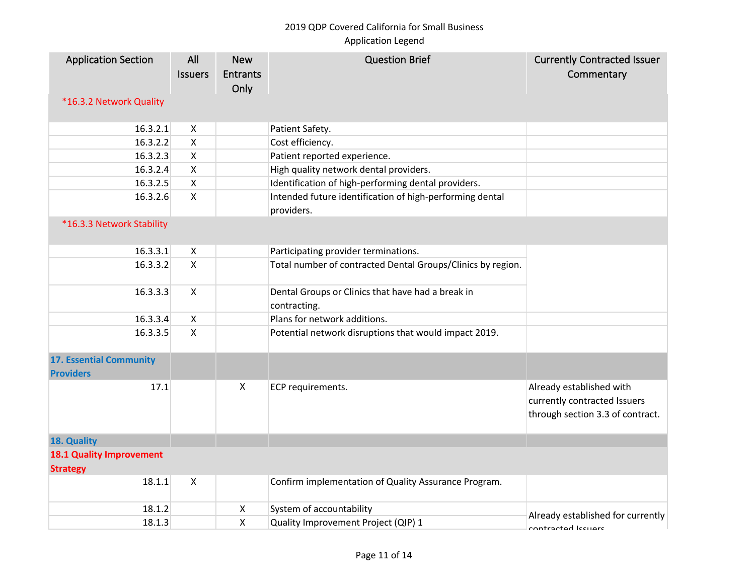| <b>Application Section</b><br>*16.3.2 Network Quality | All<br><b>Issuers</b> | <b>New</b><br><b>Entrants</b><br>Only | <b>Question Brief</b>                                                  | <b>Currently Contracted Issuer</b><br>Commentary                                             |
|-------------------------------------------------------|-----------------------|---------------------------------------|------------------------------------------------------------------------|----------------------------------------------------------------------------------------------|
| 16.3.2.1                                              | X                     |                                       | Patient Safety.                                                        |                                                                                              |
| 16.3.2.2                                              | $\pmb{\times}$        |                                       | Cost efficiency.                                                       |                                                                                              |
| 16.3.2.3                                              | $\pmb{\times}$        |                                       | Patient reported experience.                                           |                                                                                              |
| 16.3.2.4                                              | X                     |                                       | High quality network dental providers.                                 |                                                                                              |
| 16.3.2.5                                              | $\pmb{\times}$        |                                       | Identification of high-performing dental providers.                    |                                                                                              |
| 16.3.2.6                                              | X                     |                                       | Intended future identification of high-performing dental<br>providers. |                                                                                              |
| *16.3.3 Network Stability                             |                       |                                       |                                                                        |                                                                                              |
| 16.3.3.1                                              | X                     |                                       | Participating provider terminations.                                   |                                                                                              |
| 16.3.3.2                                              | $\mathsf{X}$          |                                       | Total number of contracted Dental Groups/Clinics by region.            |                                                                                              |
| 16.3.3.3                                              | X                     |                                       | Dental Groups or Clinics that have had a break in<br>contracting.      |                                                                                              |
| 16.3.3.4                                              | X                     |                                       | Plans for network additions.                                           |                                                                                              |
| 16.3.3.5                                              | $\mathsf{X}$          |                                       | Potential network disruptions that would impact 2019.                  |                                                                                              |
| <b>17. Essential Community</b><br><b>Providers</b>    |                       |                                       |                                                                        |                                                                                              |
| 17.1                                                  |                       | X                                     | ECP requirements.                                                      | Already established with<br>currently contracted Issuers<br>through section 3.3 of contract. |
| 18. Quality                                           |                       |                                       |                                                                        |                                                                                              |
| <b>18.1 Quality Improvement</b><br><b>Strategy</b>    |                       |                                       |                                                                        |                                                                                              |
| 18.1.1                                                | $\mathsf{X}$          |                                       | Confirm implementation of Quality Assurance Program.                   |                                                                                              |
| 18.1.2                                                |                       | X                                     | System of accountability                                               |                                                                                              |
| 18.1.3                                                |                       | X                                     | Quality Improvement Project (QIP) 1                                    | Already established for currently                                                            |
|                                                       |                       |                                       |                                                                        | contractad lecuare                                                                           |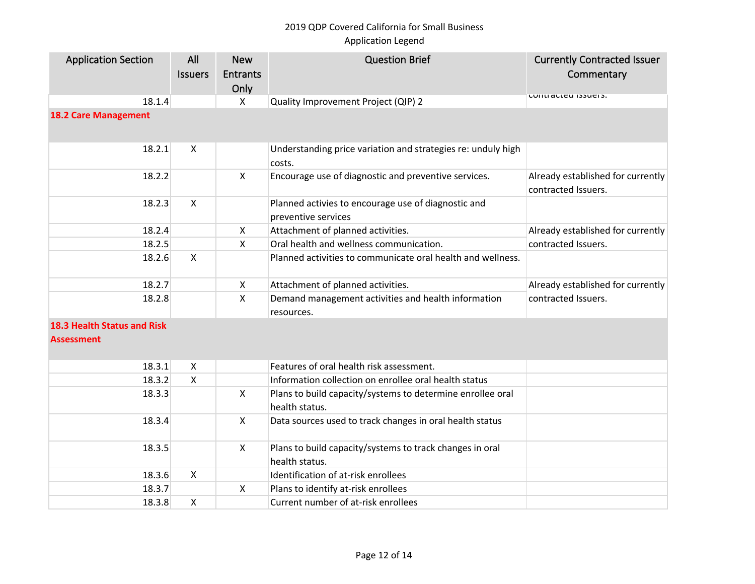| <b>Application Section</b>                              | All<br><b>Issuers</b> | <b>New</b><br><b>Entrants</b><br>Only | <b>Question Brief</b>                                                        | <b>Currently Contracted Issuer</b><br>Commentary         |
|---------------------------------------------------------|-----------------------|---------------------------------------|------------------------------------------------------------------------------|----------------------------------------------------------|
| 18.1.4                                                  |                       | $\mathsf{X}$                          | Quality Improvement Project (QIP) 2                                          | LUIILI ALLEU ISSUEIS.                                    |
| <b>18.2 Care Management</b>                             |                       |                                       |                                                                              |                                                          |
| 18.2.1                                                  | X                     |                                       | Understanding price variation and strategies re: unduly high<br>costs.       |                                                          |
| 18.2.2                                                  |                       | $\mathsf{X}$                          | Encourage use of diagnostic and preventive services.                         | Already established for currently<br>contracted Issuers. |
| 18.2.3                                                  | $\pmb{\times}$        |                                       | Planned activies to encourage use of diagnostic and<br>preventive services   |                                                          |
| 18.2.4                                                  |                       | X                                     | Attachment of planned activities.                                            | Already established for currently                        |
| 18.2.5                                                  |                       | $\mathsf{X}$                          | Oral health and wellness communication.                                      | contracted Issuers.                                      |
| 18.2.6                                                  | $\mathsf{X}$          |                                       | Planned activities to communicate oral health and wellness.                  |                                                          |
| 18.2.7                                                  |                       | $\boldsymbol{\mathsf{X}}$             | Attachment of planned activities.                                            | Already established for currently                        |
| 18.2.8                                                  |                       | $\mathsf{x}$                          | Demand management activities and health information<br>resources.            | contracted Issuers.                                      |
| <b>18.3 Health Status and Risk</b><br><b>Assessment</b> |                       |                                       |                                                                              |                                                          |
| 18.3.1                                                  | X                     |                                       | Features of oral health risk assessment.                                     |                                                          |
| 18.3.2                                                  | Χ                     |                                       | Information collection on enrollee oral health status                        |                                                          |
| 18.3.3                                                  |                       | X                                     | Plans to build capacity/systems to determine enrollee oral<br>health status. |                                                          |
| 18.3.4                                                  |                       | $\mathsf{X}$                          | Data sources used to track changes in oral health status                     |                                                          |
| 18.3.5                                                  |                       | $\mathsf{X}$                          | Plans to build capacity/systems to track changes in oral<br>health status.   |                                                          |
| 18.3.6                                                  | X                     |                                       | Identification of at-risk enrollees                                          |                                                          |
| 18.3.7                                                  |                       | X                                     | Plans to identify at-risk enrollees                                          |                                                          |
| 18.3.8                                                  | Χ                     |                                       | Current number of at-risk enrollees                                          |                                                          |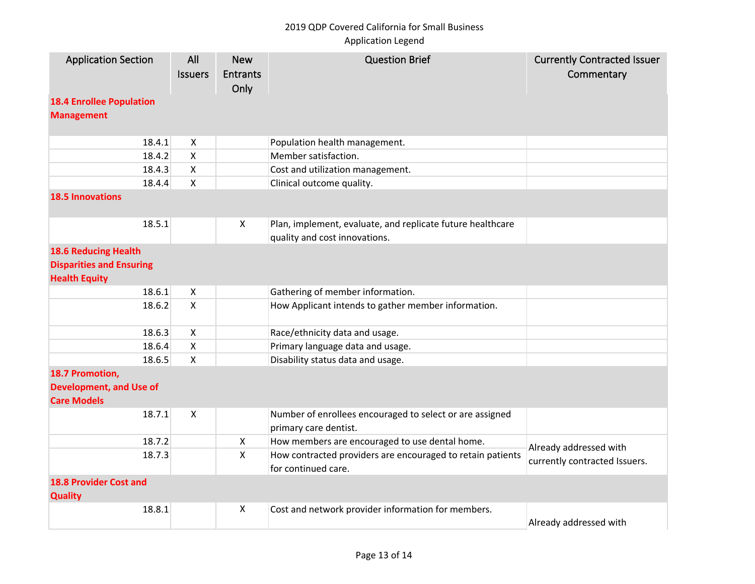# 2019 QDP Covered California for Small Business

## Application Legend

| <b>Application Section</b>                                                             | All<br><b>Issuers</b>     | <b>New</b><br><b>Entrants</b><br>Only | <b>Question Brief</b>                                                                       | <b>Currently Contracted Issuer</b><br>Commentary |
|----------------------------------------------------------------------------------------|---------------------------|---------------------------------------|---------------------------------------------------------------------------------------------|--------------------------------------------------|
| <b>18.4 Enrollee Population</b><br><b>Management</b>                                   |                           |                                       |                                                                                             |                                                  |
| 18.4.1                                                                                 | $\boldsymbol{\mathsf{X}}$ |                                       | Population health management.                                                               |                                                  |
| 18.4.2                                                                                 | $\boldsymbol{\mathsf{X}}$ |                                       | Member satisfaction.                                                                        |                                                  |
| 18.4.3                                                                                 | $\boldsymbol{\mathsf{X}}$ |                                       | Cost and utilization management.                                                            |                                                  |
| 18.4.4                                                                                 | $\boldsymbol{\mathsf{X}}$ |                                       | Clinical outcome quality.                                                                   |                                                  |
| <b>18.5 Innovations</b>                                                                |                           |                                       |                                                                                             |                                                  |
| 18.5.1                                                                                 |                           | X                                     | Plan, implement, evaluate, and replicate future healthcare<br>quality and cost innovations. |                                                  |
| <b>18.6 Reducing Health</b><br><b>Disparities and Ensuring</b><br><b>Health Equity</b> |                           |                                       |                                                                                             |                                                  |
| 18.6.1                                                                                 | $\mathsf{X}$              |                                       | Gathering of member information.                                                            |                                                  |
| 18.6.2                                                                                 | $\mathsf{X}$              |                                       | How Applicant intends to gather member information.                                         |                                                  |
| 18.6.3                                                                                 | $\mathsf{X}$              |                                       | Race/ethnicity data and usage.                                                              |                                                  |
| 18.6.4                                                                                 | X                         |                                       | Primary language data and usage.                                                            |                                                  |
| 18.6.5                                                                                 | $\mathsf{X}$              |                                       | Disability status data and usage.                                                           |                                                  |
| 18.7 Promotion,<br><b>Development, and Use of</b><br><b>Care Models</b>                |                           |                                       |                                                                                             |                                                  |
| 18.7.1                                                                                 | $\boldsymbol{\mathsf{X}}$ |                                       | Number of enrollees encouraged to select or are assigned<br>primary care dentist.           |                                                  |
| 18.7.2                                                                                 |                           | X                                     | How members are encouraged to use dental home.                                              | Already addressed with                           |
| 18.7.3                                                                                 |                           | X                                     | How contracted providers are encouraged to retain patients<br>for continued care.           | currently contracted Issuers.                    |
| <b>18.8 Provider Cost and</b><br><b>Quality</b>                                        |                           |                                       |                                                                                             |                                                  |
| 18.8.1                                                                                 |                           | X                                     | Cost and network provider information for members.                                          | Already addressed with                           |